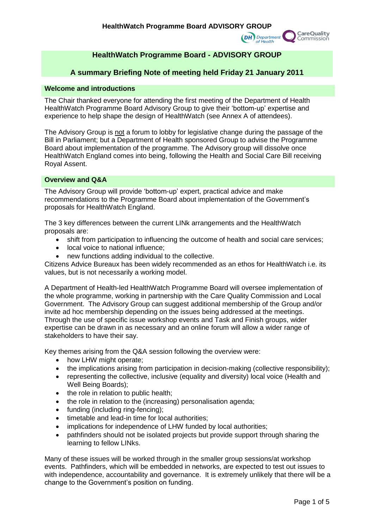

# **HealthWatch Programme Board - ADVISORY GROUP**

# **A summary Briefing Note of meeting held Friday 21 January 2011**

### **Welcome and introductions**

The Chair thanked everyone for attending the first meeting of the Department of Health HealthWatch Programme Board Advisory Group to give their 'bottom-up' expertise and experience to help shape the design of HealthWatch (see Annex A of attendees).

The Advisory Group is not a forum to lobby for legislative change during the passage of the Bill in Parliament; but a Department of Health sponsored Group to advise the Programme Board about implementation of the programme. The Advisory group will dissolve once HealthWatch England comes into being, following the Health and Social Care Bill receiving Royal Assent.

### **Overview and Q&A**

The Advisory Group will provide 'bottom-up' expert, practical advice and make recommendations to the Programme Board about implementation of the Government's proposals for HealthWatch England.

The 3 key differences between the current LINk arrangements and the HealthWatch proposals are:

- shift from participation to influencing the outcome of health and social care services;
- local voice to national influence:
- new functions adding individual to the collective.

Citizens Advice Bureaux has been widely recommended as an ethos for HealthWatch i.e. its values, but is not necessarily a working model.

A Department of Health-led HealthWatch Programme Board will oversee implementation of the whole programme, working in partnership with the Care Quality Commission and Local Government. The Advisory Group can suggest additional membership of the Group and/or invite ad hoc membership depending on the issues being addressed at the meetings. Through the use of specific issue workshop events and Task and Finish groups, wider expertise can be drawn in as necessary and an online forum will allow a wider range of stakeholders to have their say.

Key themes arising from the Q&A session following the overview were:

- how LHW might operate:
- the implications arising from participation in decision-making (collective responsibility);
- representing the collective, inclusive (equality and diversity) local voice (Health and Well Being Boards);
- the role in relation to public health;
- the role in relation to the (increasing) personalisation agenda;
- funding (including ring-fencing);
- timetable and lead-in time for local authorities;
- implications for independence of LHW funded by local authorities:
- pathfinders should not be isolated projects but provide support through sharing the learning to fellow LINks.

Many of these issues will be worked through in the smaller group sessions/at workshop events. Pathfinders, which will be embedded in networks, are expected to test out issues to with independence, accountability and governance. It is extremely unlikely that there will be a change to the Government's position on funding.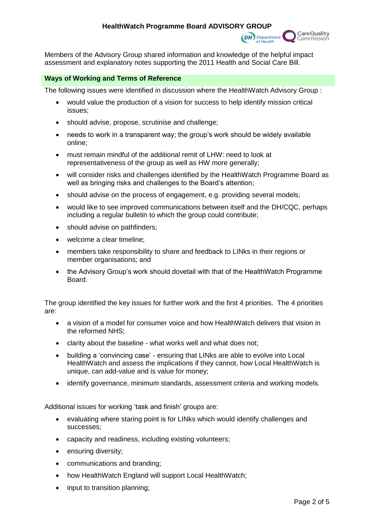

Members of the Advisory Group shared information and knowledge of the helpful impact assessment and explanatory notes supporting the 2011 Health and Social Care Bill.

### **Ways of Working and Terms of Reference**

The following issues were identified in discussion where the HealthWatch Advisory Group :

- would value the production of a vision for success to help identify mission critical issues;
- should advise, propose, scrutinise and challenge;
- needs to work in a transparent way; the group's work should be widely available online;
- must remain mindful of the additional remit of LHW: need to look at representativeness of the group as well as HW more generally;
- will consider risks and challenges identified by the HealthWatch Programme Board as well as bringing risks and challenges to the Board's attention;
- should advise on the process of engagement, e.g. providing several models;
- would like to see improved communications between itself and the DH/CQC, perhaps including a regular bulletin to which the group could contribute;
- should advise on pathfinders:
- welcome a clear timeline:
- members take responsibility to share and feedback to LINks in their regions or member organisations; and
- the Advisory Group's work should dovetail with that of the HealthWatch Programme Board.

The group identified the key issues for further work and the first 4 priorities. The 4 priorities are:

- a vision of a model for consumer voice and how HealthWatch delivers that vision in the reformed NHS;
- clarity about the baseline what works well and what does not;
- building a 'convincing case' ensuring that LINks are able to evolve into Local HealthWatch and assess the implications if they cannot, how Local HealthWatch is unique, can add-value and is value for money;
- identify governance, minimum standards, assessment criteria and working models.

Additional issues for working 'task and finish' groups are:

- evaluating where staring point is for LINks which would identify challenges and successes;
- capacity and readiness, including existing volunteers;
- ensuring diversity;
- communications and branding;
- how HealthWatch England will support Local HealthWatch;
- input to transition planning;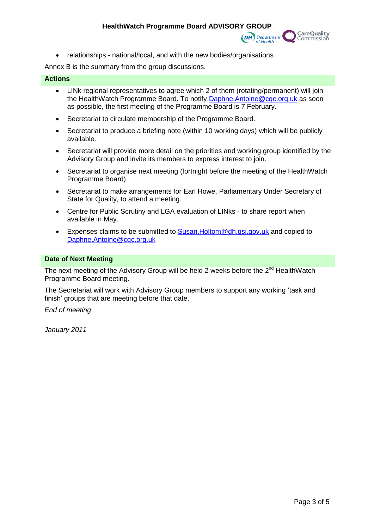

relationships - national/local, and with the new bodies/organisations.

Annex B is the summary from the group discussions.

### **Actions**

- LINk regional representatives to agree which 2 of them (rotating/permanent) will join the HealthWatch Programme Board. To notify [Daphne.Antoine@cqc.org.uk](mailto:Daphne.Antoine@cqc.org.uk) as soon as possible, the first meeting of the Programme Board is 7 February.
- Secretariat to circulate membership of the Programme Board.
- Secretariat to produce a briefing note (within 10 working days) which will be publicly available.
- Secretariat will provide more detail on the priorities and working group identified by the Advisory Group and invite its members to express interest to join.
- Secretariat to organise next meeting (fortnight before the meeting of the HealthWatch Programme Board).
- Secretariat to make arrangements for Earl Howe, Parliamentary Under Secretary of State for Quality, to attend a meeting.
- Centre for Public Scrutiny and LGA evaluation of LINks to share report when available in May.
- Expenses claims to be submitted to  $S$ usan. Holtom @dh.gsi.gov.uk and copied to [Daphne.Antoine@cqc.org.uk](mailto:Daphne.Antoine@cqc.org.uk)

#### **Date of Next Meeting**

The next meeting of the Advisory Group will be held 2 weeks before the  $2^{nd}$  HealthWatch Programme Board meeting.

The Secretariat will work with Advisory Group members to support any working 'task and finish' groups that are meeting before that date.

*End of meeting*

*January 2011*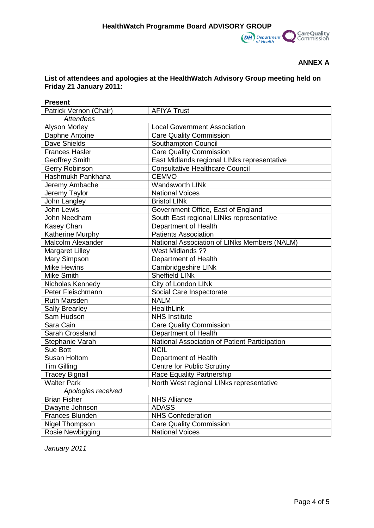

## **ANNEX A**

## **List of attendees and apologies at the HealthWatch Advisory Group meeting held on Friday 21 January 2011:**

| <b>Present</b>         |                                               |
|------------------------|-----------------------------------------------|
| Patrick Vernon (Chair) | <b>AFIYA Trust</b>                            |
| <b>Attendees</b>       |                                               |
| <b>Alyson Morley</b>   | <b>Local Government Association</b>           |
| Daphne Antoine         | <b>Care Quality Commission</b>                |
| Dave Shields           | Southampton Council                           |
| <b>Frances Hasler</b>  | <b>Care Quality Commission</b>                |
| <b>Geoffrey Smith</b>  | East Midlands regional LINks representative   |
| Gerry Robinson         | <b>Consultative Healthcare Council</b>        |
| Hashmukh Pankhana      | <b>CEMVO</b>                                  |
| Jeremy Ambache         | <b>Wandsworth LINk</b>                        |
| Jeremy Taylor          | <b>National Voices</b>                        |
| John Langley           | <b>Bristol LINk</b>                           |
| John Lewis             | Government Office, East of England            |
| John Needham           | South East regional LINks representative      |
| Kasey Chan             | Department of Health                          |
| Katherine Murphy       | <b>Patients Association</b>                   |
| Malcolm Alexander      | National Association of LINks Members (NALM)  |
| <b>Margaret Lilley</b> | West Midlands ??                              |
| Mary Simpson           | Department of Health                          |
| <b>Mike Hewins</b>     | Cambridgeshire LINk                           |
| Mike Smith             | <b>Sheffield LINk</b>                         |
| Nicholas Kennedy       | City of London LINk                           |
| Peter Fleischmann      | Social Care Inspectorate                      |
| <b>Ruth Marsden</b>    | <b>NALM</b>                                   |
| <b>Sally Brearley</b>  | HealthLink                                    |
| Sam Hudson             | <b>NHS Institute</b>                          |
| Sara Cain              | <b>Care Quality Commission</b>                |
| Sarah Crossland        | Department of Health                          |
| Stephanie Varah        | National Association of Patient Participation |
| Sue Bott               | <b>NCIL</b>                                   |
| Susan Holtom           | Department of Health                          |
| <b>Tim Gilling</b>     | <b>Centre for Public Scrutiny</b>             |
| <b>Tracey Bignall</b>  | <b>Race Equality Partnership</b>              |
| <b>Walter Park</b>     | North West regional LINks representative      |
| Apologies received     |                                               |
| <b>Brian Fisher</b>    | <b>NHS Alliance</b>                           |
| Dwayne Johnson         | <b>ADASS</b>                                  |
| Frances Blunden        | <b>NHS Confederation</b>                      |
| Nigel Thompson         | <b>Care Quality Commission</b>                |
| Rosie Newbigging       | <b>National Voices</b>                        |

*January 2011*